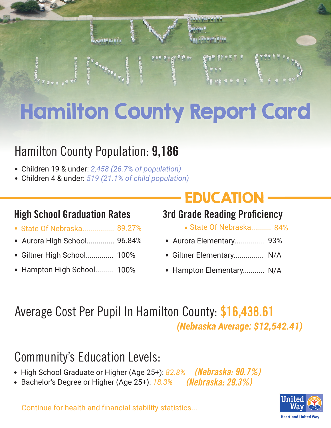

# Hamilton County Report Card

### Hamilton County Population: **9,186**

- Children 19 & under: *2,458 (26.7% of population)* .
- Children 4 & under: *519 (21.1% of child population)* .

#### **High School Graduation Rates 3rd Grade Reading Proficiency**

- nigh oonoor araaaaabir natoo . . State Of Nebraska.......... Aurora High School.............. 96.84%
- 
- . Giltner High School.............. 100%
- . Hampton High School......... 100%

# **EDUCATION**

- State Of Nebraska.......... 84%
- . Aurora Elementary............... 93%
- . Giltner Elementary............... N/A
- . Hampton Elementary........... N/A

#### Average Cost Per Pupil In Hamilton County: **\$16,438.61** *(Nebraska Average: \$12,542.41)*

## Community's Education Levels:

- High School Graduate or Higher (Age 25+): 82.8<sup>%</sup> *(Nebraska: 90.7%)*
- High School Graduate or Higher (Age 25+): *82*<br>• Bachelor's Degree or Higher (Age 25+): <u>18.3</u>% *(Nebraska: 29.3%)*